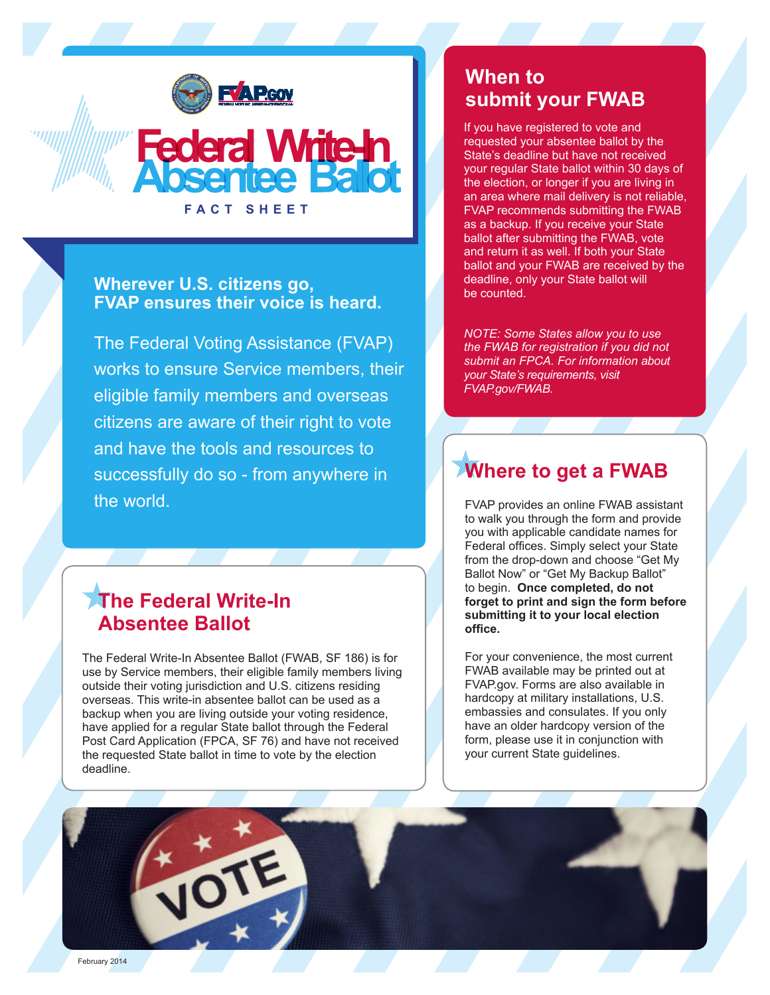

### **Wherever U.S. citizens go, FVAP ensures their voice is heard.**

**FACT SHEET**

The Federal Voting Assistance (FVAP) works to ensure Service members, their eligible family members and overseas citizens are aware of their right to vote and have the tools and resources to successfully do so - from anywhere in the world.

## **The Federal Write-In Absentee Ballot**

The Federal Write-In Absentee Ballot (FWAB, SF 186) is for use by Service members, their eligible family members living outside their voting jurisdiction and U.S. citizens residing overseas. This write-in absentee ballot can be used as a backup when you are living outside your voting residence, have applied for a regular State ballot through the Federal Post Card Application (FPCA, SF 76) and have not received the requested State ballot in time to vote by the election deadline.

## **When to submit your FWAB**

If you have registered to vote and requested your absentee ballot by the State's deadline but have not received your regular State ballot within 30 days of the election, or longer if you are living in an area where mail delivery is not reliable, FVAP recommends submitting the FWAB as a backup. If you receive your State ballot after submitting the FWAB, vote and return it as well. If both your State ballot and your FWAB are received by the deadline, only your State ballot will be counted.

*NOTE: Some States allow you to use the FWAB for registration if you did not submit an FPCA. For information about your State's requirements, visit FVAP.gov/FWAB.*

# **Where to get a FWAB**

FVAP provides an online FWAB assistant to walk you through the form and provide you with applicable candidate names for Federal offices. Simply select your State from the drop-down and choose "Get My Ballot Now" or "Get My Backup Ballot" to begin. **Once completed, do not forget to print and sign the form before submitting it to your local election office.**

For your convenience, the most current FWAB available may be printed out at FVAP.gov. Forms are also available in hardcopy at military installations, U.S. embassies and consulates. If you only have an older hardcopy version of the form, please use it in conjunction with your current State guidelines.